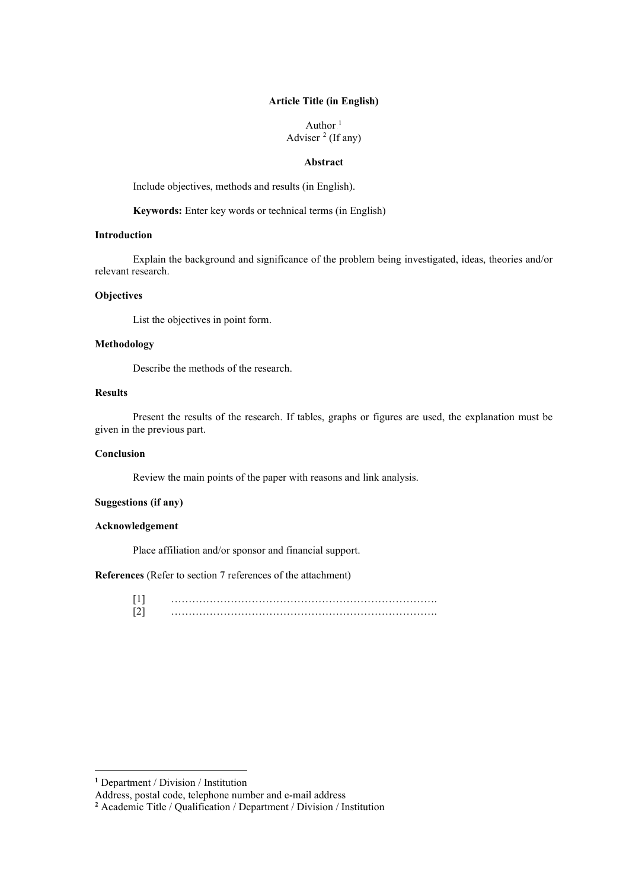### **Article Title (in English)**

Author $\frac{1}{2}$ Adviser  $<sup>2</sup>$  $<sup>2</sup>$  $<sup>2</sup>$  (If any)</sup>

#### **Abstract**

Include objectives, methods and results (in English).

**Keywords:** Enter key words or technical terms (in English)

#### **Introduction**

Explain the background and significance of the problem being investigated, ideas, theories and/or relevant research.

## **Objectives**

List the objectives in point form.

### **Methodology**

Describe the methods of the research.

# **Results**

Present the results of the research. If tables, graphs or figures are used, the explanation must be given in the previous part.

#### **Conclusion**

Review the main points of the paper with reasons and link analysis.

## **Suggestions (if any)**

## **Acknowledgement**

Place affiliation and/or sponsor and financial support.

#### **References** (Refer to section 7 references of the attachment)

[1] …………………………………………………………………. [2] ………………………………………………………………….

**<sup>1</sup>** Department / Division / Institution

Address, postal code, telephone number and e-mail address

<span id="page-0-0"></span>**<sup>2</sup>** Academic Title / Qualification / Department / Division / Institution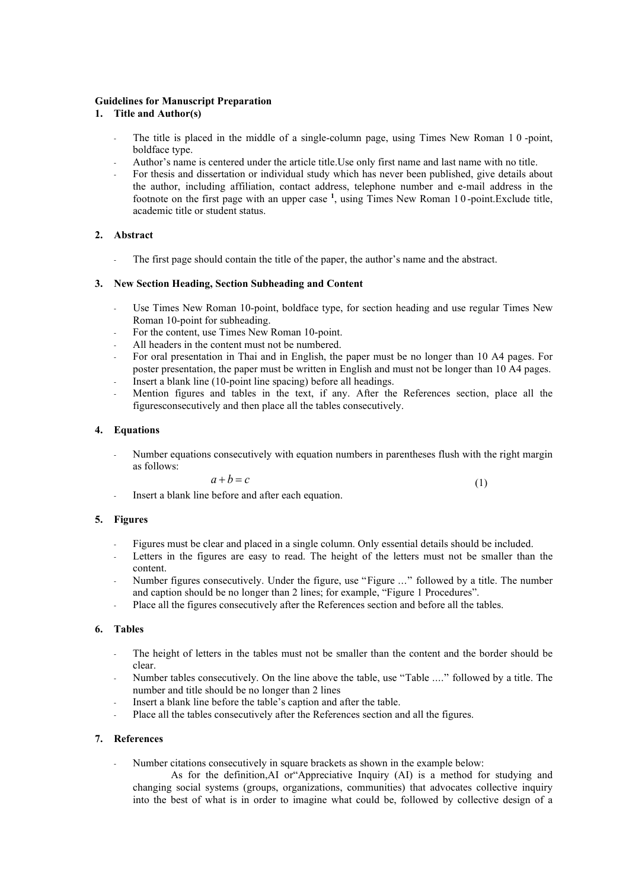#### **Guidelines for Manuscript Preparation**

- **1. Title and Author(s)**
	- The title is placed in the middle of a single-column page, using Times New Roman 10-point, boldface type.
	- Author's name is centered under the article title.Use only first name and last name with no title.
	- For thesis and dissertation or individual study which has never been published, give details about the author, including affiliation, contact address, telephone number and e-mail address in the footnote on the first page with an upper case **<sup>1</sup>** , using Times New Roman 1 0 -point.Exclude title, academic title or student status.

### **2. Abstract**

The first page should contain the title of the paper, the author's name and the abstract.

### **3. New Section Heading, Section Subheading and Content**

- Use Times New Roman 10-point, boldface type, for section heading and use regular Times New Roman 10-point for subheading.
- For the content, use Times New Roman 10-point.
- All headers in the content must not be numbered.
- For oral presentation in Thai and in English, the paper must be no longer than 10 A4 pages. For poster presentation, the paper must be written in English and must not be longer than 10 A4 pages. Insert a blank line (10-point line spacing) before all headings.
- Mention figures and tables in the text, if any. After the References section, place all the figuresconsecutively and then place all the tables consecutively.

### **4. Equations**

- Number equations consecutively with equation numbers in parentheses flush with the right margin as follows:

$$
a+b=c\tag{1}
$$

Insert a blank line before and after each equation.

### **5. Figures**

- Figures must be clear and placed in a single column. Only essential details should be included.
- Letters in the figures are easy to read. The height of the letters must not be smaller than the content.
- Number figures consecutively. Under the figure, use "Figure ..." followed by a title. The number and caption should be no longer than 2 lines; for example, "Figure 1 Procedures".
- Place all the figures consecutively after the References section and before all the tables.

### **6. Tables**

- The height of letters in the tables must not be smaller than the content and the border should be clear.
- Number tables consecutively. On the line above the table, use "Table ...." followed by a title. The number and title should be no longer than 2 lines
- Insert a blank line before the table's caption and after the table.
- Place all the tables consecutively after the References section and all the figures.

## **7. References**

Number citations consecutively in square brackets as shown in the example below:

As for the definition,AI or"Appreciative Inquiry (AI) is a method for studying and changing social systems (groups, organizations, communities) that advocates collective inquiry into the best of what is in order to imagine what could be, followed by collective design of a